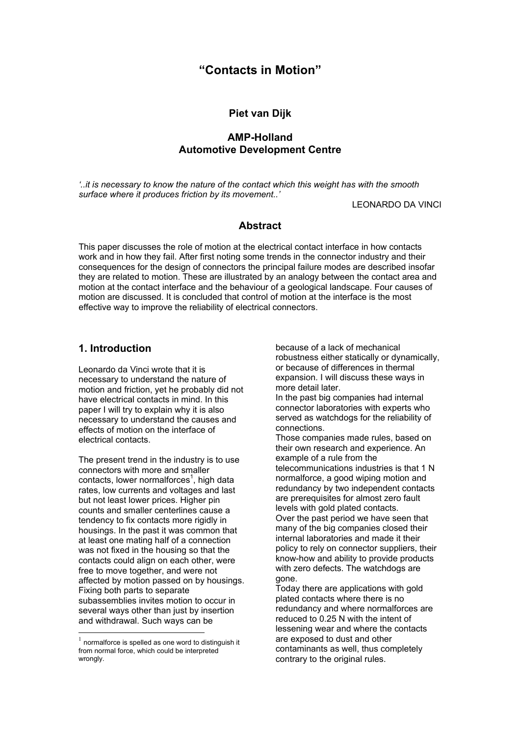# **"Contacts in Motion"**

### **Piet van Dijk**

## **AMP-Holland Automotive Development Centre**

*'..it is necessary to know the nature of the contact which this weight has with the smooth surface where it produces friction by its movement..'* 

LEONARDO DA VINCI

#### **Abstract**

This paper discusses the role of motion at the electrical contact interface in how contacts work and in how they fail. After first noting some trends in the connector industry and their consequences for the design of connectors the principal failure modes are described insofar they are related to motion. These are illustrated by an analogy between the contact area and motion at the contact interface and the behaviour of a geological landscape. Four causes of motion are discussed. It is concluded that control of motion at the interface is the most effective way to improve the reliability of electrical connectors.

### **1. Introduction**

Leonardo da Vinci wrote that it is necessary to understand the nature of motion and friction, yet he probably did not have electrical contacts in mind. In this paper I will try to explain why it is also necessary to understand the causes and effects of motion on the interface of electrical contacts.

The present trend in the industry is to use connectors with more and smaller contacts, lower normalforces<sup>[1](#page-0-0)</sup>, high data rates, low currents and voltages and last but not least lower prices. Higher pin counts and smaller centerlines cause a tendency to fix contacts more rigidly in housings. In the past it was common that at least one mating half of a connection was not fixed in the housing so that the contacts could align on each other, were free to move together, and were not affected by motion passed on by housings. Fixing both parts to separate subassemblies invites motion to occur in several ways other than just by insertion and withdrawal. Such ways can be

l

because of a lack of mechanical robustness either statically or dynamically, or because of differences in thermal expansion. I will discuss these ways in more detail later.

In the past big companies had internal connector laboratories with experts who served as watchdogs for the reliability of connections.

Those companies made rules, based on their own research and experience. An example of a rule from the telecommunications industries is that 1 N

normalforce, a good wiping motion and redundancy by two independent contacts are prerequisites for almost zero fault levels with gold plated contacts.

Over the past period we have seen that many of the big companies closed their internal laboratories and made it their policy to rely on connector suppliers, their know-how and ability to provide products with zero defects. The watchdogs are gone.

Today there are applications with gold plated contacts where there is no redundancy and where normalforces are reduced to 0.25 N with the intent of lessening wear and where the contacts are exposed to dust and other contaminants as well, thus completely contrary to the original rules.

<span id="page-0-0"></span> $1$  normalforce is spelled as one word to distinguish it from normal force, which could be interpreted wrongly.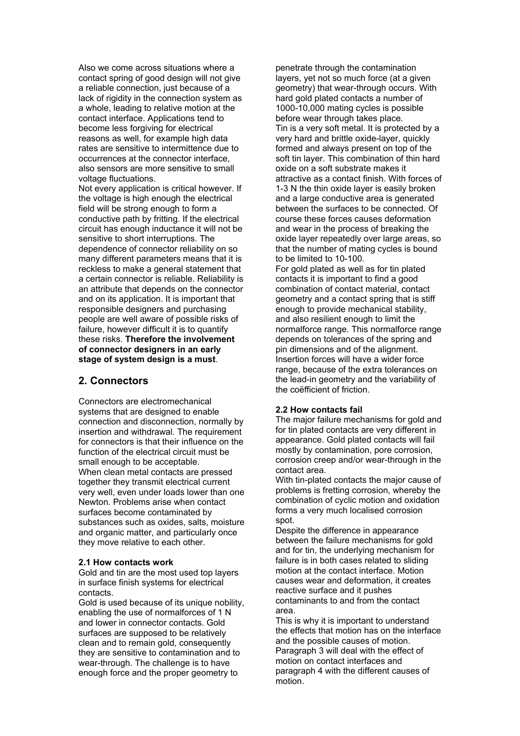Also we come across situations where a contact spring of good design will not give a reliable connection, just because of a lack of rigidity in the connection system as a whole, leading to relative motion at the contact interface. Applications tend to become less forgiving for electrical reasons as well, for example high data rates are sensitive to intermittence due to occurrences at the connector interface, also sensors are more sensitive to small voltage fluctuations.

Not every application is critical however. If the voltage is high enough the electrical field will be strong enough to form a conductive path by fritting. If the electrical circuit has enough inductance it will not be sensitive to short interruptions. The dependence of connector reliability on so many different parameters means that it is reckless to make a general statement that a certain connector is reliable. Reliability is an attribute that depends on the connector and on its application. It is important that responsible designers and purchasing people are well aware of possible risks of failure, however difficult it is to quantify these risks. **Therefore the involvement of connector designers in an early stage of system design is a must**.

#### **2. Connectors**

Connectors are electromechanical systems that are designed to enable connection and disconnection, normally by insertion and withdrawal. The requirement for connectors is that their influence on the function of the electrical circuit must be small enough to be acceptable. When clean metal contacts are pressed together they transmit electrical current very well, even under loads lower than one Newton. Problems arise when contact surfaces become contaminated by substances such as oxides, salts, moisture and organic matter, and particularly once they move relative to each other.

#### **2.1 How contacts work**

Gold and tin are the most used top layers in surface finish systems for electrical contacts.

Gold is used because of its unique nobility. enabling the use of normalforces of 1 N and lower in connector contacts. Gold surfaces are supposed to be relatively clean and to remain gold, consequently they are sensitive to contamination and to wear-through. The challenge is to have enough force and the proper geometry to

penetrate through the contamination layers, yet not so much force (at a given geometry) that wear-through occurs. With hard gold plated contacts a number of 1000-10,000 mating cycles is possible before wear through takes place. Tin is a very soft metal. It is protected by a very hard and brittle oxide-layer, quickly formed and always present on top of the soft tin layer. This combination of thin hard oxide on a soft substrate makes it attractive as a contact finish. With forces of 1-3 N the thin oxide layer is easily broken and a large conductive area is generated between the surfaces to be connected. Of course these forces causes deformation and wear in the process of breaking the oxide layer repeatedly over large areas, so that the number of mating cycles is bound to be limited to 10-100.

For gold plated as well as for tin plated contacts it is important to find a good combination of contact material, contact geometry and a contact spring that is stiff enough to provide mechanical stability, and also resilient enough to limit the normalforce range. This normalforce range depends on tolerances of the spring and pin dimensions and of the alignment. Insertion forces will have a wider force range, because of the extra tolerances on the lead-in geometry and the variability of the coëfficient of friction.

#### **2.2 How contacts fail**

The major failure mechanisms for gold and for tin plated contacts are very different in appearance. Gold plated contacts will fail mostly by contamination, pore corrosion, corrosion creep and/or wear-through in the contact area.

With tin-plated contacts the major cause of problems is fretting corrosion, whereby the combination of cyclic motion and oxidation forms a very much localised corrosion spot.

Despite the difference in appearance between the failure mechanisms for gold and for tin, the underlying mechanism for failure is in both cases related to sliding motion at the contact interface. Motion causes wear and deformation, it creates reactive surface and it pushes contaminants to and from the contact area.

This is why it is important to understand the effects that motion has on the interface and the possible causes of motion. Paragraph 3 will deal with the effect of motion on contact interfaces and paragraph 4 with the different causes of motion.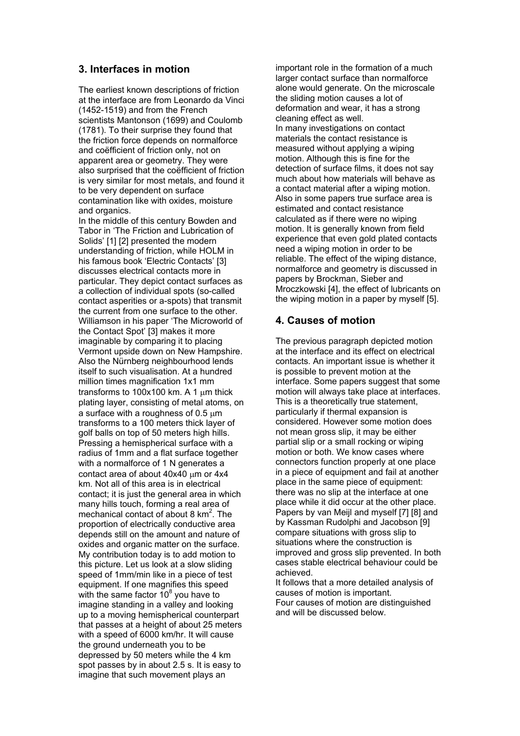## **3. Interfaces in motion**

The earliest known descriptions of friction at the interface are from Leonardo da Vinci (1452-1519) and from the French scientists Mantonson (1699) and Coulomb (1781). To their surprise they found that the friction force depends on normalforce and coëfficient of friction only, not on apparent area or geometry. They were also surprised that the coëfficient of friction is very similar for most metals, and found it to be very dependent on surface contamination like with oxides, moisture and organics.

In the middle of this century Bowden and Tabor in 'The Friction and Lubrication of Solids' [1] [2] presented the modern understanding of friction, while HOLM in his famous book 'Electric Contacts' [3] discusses electrical contacts more in particular. They depict contact surfaces as a collection of individual spots (so-called contact asperities or a-spots) that transmit the current from one surface to the other. Williamson in his paper 'The Microworld of the Contact Spot' [3] makes it more imaginable by comparing it to placing Vermont upside down on New Hampshire. Also the Nürnberg neighbourhood lends itself to such visualisation. At a hundred million times magnification 1x1 mm transforms to  $100x100$  km. A 1  $\mu$ m thick plating layer, consisting of metal atoms, on a surface with a roughness of  $0.5 \mu m$ transforms to a 100 meters thick layer of golf balls on top of 50 meters high hills. Pressing a hemispherical surface with a radius of 1mm and a flat surface together with a normalforce of 1 N generates a contact area of about 40x40 um or 4x4 km. Not all of this area is in electrical contact; it is just the general area in which many hills touch, forming a real area of mechanical contact of about 8 km<sup>2</sup>. The proportion of electrically conductive area depends still on the amount and nature of oxides and organic matter on the surface. My contribution today is to add motion to this picture. Let us look at a slow sliding speed of 1mm/min like in a piece of test equipment. If one magnifies this speed with the same factor  $10^8$  you have to imagine standing in a valley and looking up to a moving hemispherical counterpart that passes at a height of about 25 meters with a speed of 6000 km/hr. It will cause the ground underneath you to be depressed by 50 meters while the 4 km spot passes by in about 2.5 s. It is easy to imagine that such movement plays an

important role in the formation of a much larger contact surface than normalforce alone would generate. On the microscale the sliding motion causes a lot of deformation and wear, it has a strong cleaning effect as well. In many investigations on contact materials the contact resistance is measured without applying a wiping motion. Although this is fine for the detection of surface films, it does not say much about how materials will behave as a contact material after a wiping motion. Also in some papers true surface area is estimated and contact resistance calculated as if there were no wiping motion. It is generally known from field experience that even gold plated contacts need a wiping motion in order to be reliable. The effect of the wiping distance, normalforce and geometry is discussed in papers by Brockman, Sieber and Mroczkowski [4], the effect of lubricants on the wiping motion in a paper by myself [5].

## **4. Causes of motion**

The previous paragraph depicted motion at the interface and its effect on electrical contacts. An important issue is whether it is possible to prevent motion at the interface. Some papers suggest that some motion will always take place at interfaces. This is a theoretically true statement, particularly if thermal expansion is considered. However some motion does not mean gross slip, it may be either partial slip or a small rocking or wiping motion or both. We know cases where connectors function properly at one place in a piece of equipment and fail at another place in the same piece of equipment: there was no slip at the interface at one place while it did occur at the other place. Papers by van Meijl and myself [7] [8] and by Kassman Rudolphi and Jacobson [9] compare situations with gross slip to situations where the construction is improved and gross slip prevented. In both cases stable electrical behaviour could be achieved.

It follows that a more detailed analysis of causes of motion is important. Four causes of motion are distinguished and will be discussed below.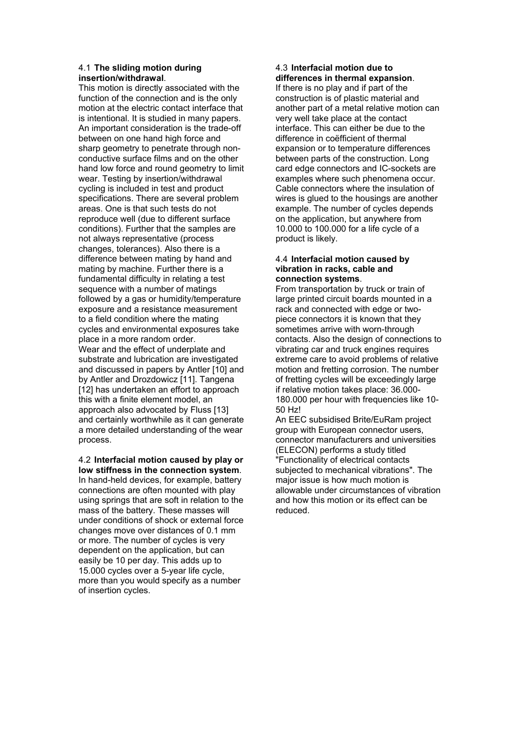#### 4.1 **The sliding motion during insertion/withdrawal**.

This motion is directly associated with the function of the connection and is the only motion at the electric contact interface that is intentional. It is studied in many papers. An important consideration is the trade-off between on one hand high force and sharp geometry to penetrate through nonconductive surface films and on the other hand low force and round geometry to limit wear. Testing by insertion/withdrawal cycling is included in test and product specifications. There are several problem areas. One is that such tests do not reproduce well (due to different surface conditions). Further that the samples are not always representative (process changes, tolerances). Also there is a difference between mating by hand and mating by machine. Further there is a fundamental difficulty in relating a test sequence with a number of matings followed by a gas or humidity/temperature exposure and a resistance measurement to a field condition where the mating cycles and environmental exposures take place in a more random order. Wear and the effect of underplate and substrate and lubrication are investigated and discussed in papers by Antler [10] and by Antler and Drozdowicz [11]. Tangena [12] has undertaken an effort to approach this with a finite element model, an approach also advocated by Fluss [13] and certainly worthwhile as it can generate a more detailed understanding of the wear process.

4.2 **Interfacial motion caused by play or low stiffness in the connection system**. In hand-held devices, for example, battery connections are often mounted with play using springs that are soft in relation to the mass of the battery. These masses will under conditions of shock or external force changes move over distances of 0.1 mm or more. The number of cycles is very dependent on the application, but can easily be 10 per day. This adds up to 15.000 cycles over a 5-year life cycle, more than you would specify as a number of insertion cycles.

### 4.3 **Interfacial motion due to differences in thermal expansion**.

If there is no play and if part of the construction is of plastic material and another part of a metal relative motion can very well take place at the contact interface. This can either be due to the difference in coëfficient of thermal expansion or to temperature differences between parts of the construction. Long card edge connectors and IC-sockets are examples where such phenomena occur. Cable connectors where the insulation of wires is glued to the housings are another example. The number of cycles depends on the application, but anywhere from 10.000 to 100.000 for a life cycle of a product is likely.

#### 4.4 **Interfacial motion caused by vibration in racks, cable and connection systems**.

From transportation by truck or train of large printed circuit boards mounted in a rack and connected with edge or twopiece connectors it is known that they sometimes arrive with worn-through contacts. Also the design of connections to vibrating car and truck engines requires extreme care to avoid problems of relative motion and fretting corrosion. The number of fretting cycles will be exceedingly large if relative motion takes place: 36.000- 180.000 per hour with frequencies like 10- 50 Hz!

An EEC subsidised Brite/EuRam project group with European connector users, connector manufacturers and universities (ELECON) performs a study titled "Functionality of electrical contacts subjected to mechanical vibrations". The major issue is how much motion is allowable under circumstances of vibration and how this motion or its effect can be reduced.